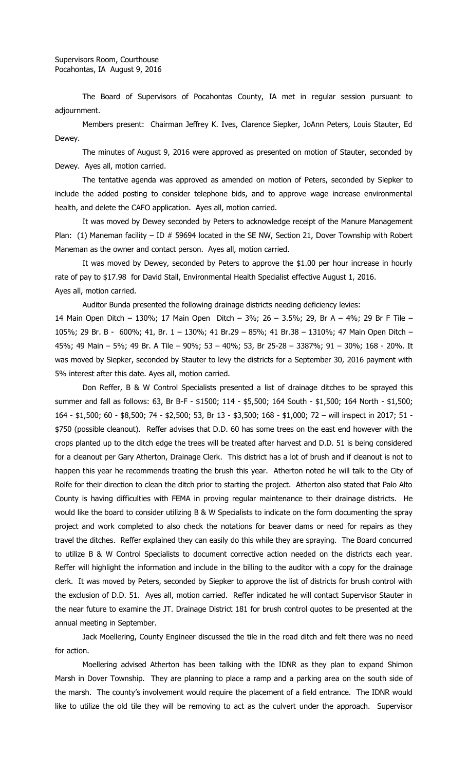The Board of Supervisors of Pocahontas County, IA met in regular session pursuant to adjournment.

Members present: Chairman Jeffrey K. Ives, Clarence Siepker, JoAnn Peters, Louis Stauter, Ed Dewey.

The minutes of August 9, 2016 were approved as presented on motion of Stauter, seconded by Dewey. Ayes all, motion carried.

The tentative agenda was approved as amended on motion of Peters, seconded by Siepker to include the added posting to consider telephone bids, and to approve wage increase environmental health, and delete the CAFO application. Ayes all, motion carried.

It was moved by Dewey seconded by Peters to acknowledge receipt of the Manure Management Plan: (1) Maneman facility – ID  $#$  59694 located in the SE NW, Section 21, Dover Township with Robert Maneman as the owner and contact person. Ayes all, motion carried.

It was moved by Dewey, seconded by Peters to approve the \$1.00 per hour increase in hourly rate of pay to \$17.98 for David Stall, Environmental Health Specialist effective August 1, 2016. Ayes all, motion carried.

Auditor Bunda presented the following drainage districts needing deficiency levies:

14 Main Open Ditch – 130%; 17 Main Open Ditch – 3%; 26 – 3.5%; 29, Br A – 4%; 29 Br F Tile – 105%; 29 Br. B - 600%; 41, Br. 1 – 130%; 41 Br.29 – 85%; 41 Br.38 – 1310%; 47 Main Open Ditch – 45%; 49 Main – 5%; 49 Br. A Tile – 90%; 53 – 40%; 53, Br 25-28 – 3387%; 91 – 30%; 168 - 20%. It was moved by Siepker, seconded by Stauter to levy the districts for a September 30, 2016 payment with 5% interest after this date. Ayes all, motion carried.

Don Reffer, B & W Control Specialists presented a list of drainage ditches to be sprayed this summer and fall as follows: 63, Br B-F - \$1500; 114 - \$5,500; 164 South - \$1,500; 164 North - \$1,500; 164 - \$1,500; 60 - \$8,500; 74 - \$2,500; 53, Br 13 - \$3,500; 168 - \$1,000; 72 – will inspect in 2017; 51 - \$750 (possible cleanout). Reffer advises that D.D. 60 has some trees on the east end however with the crops planted up to the ditch edge the trees will be treated after harvest and D.D. 51 is being considered for a cleanout per Gary Atherton, Drainage Clerk. This district has a lot of brush and if cleanout is not to happen this year he recommends treating the brush this year. Atherton noted he will talk to the City of Rolfe for their direction to clean the ditch prior to starting the project. Atherton also stated that Palo Alto County is having difficulties with FEMA in proving regular maintenance to their drainage districts. He would like the board to consider utilizing B & W Specialists to indicate on the form documenting the spray project and work completed to also check the notations for beaver dams or need for repairs as they travel the ditches. Reffer explained they can easily do this while they are spraying. The Board concurred to utilize B & W Control Specialists to document corrective action needed on the districts each year. Reffer will highlight the information and include in the billing to the auditor with a copy for the drainage clerk. It was moved by Peters, seconded by Siepker to approve the list of districts for brush control with the exclusion of D.D. 51. Ayes all, motion carried. Reffer indicated he will contact Supervisor Stauter in the near future to examine the JT. Drainage District 181 for brush control quotes to be presented at the annual meeting in September.

Jack Moellering, County Engineer discussed the tile in the road ditch and felt there was no need for action.

Moellering advised Atherton has been talking with the IDNR as they plan to expand Shimon Marsh in Dover Township. They are planning to place a ramp and a parking area on the south side of the marsh. The county's involvement would require the placement of a field entrance. The IDNR would like to utilize the old tile they will be removing to act as the culvert under the approach. Supervisor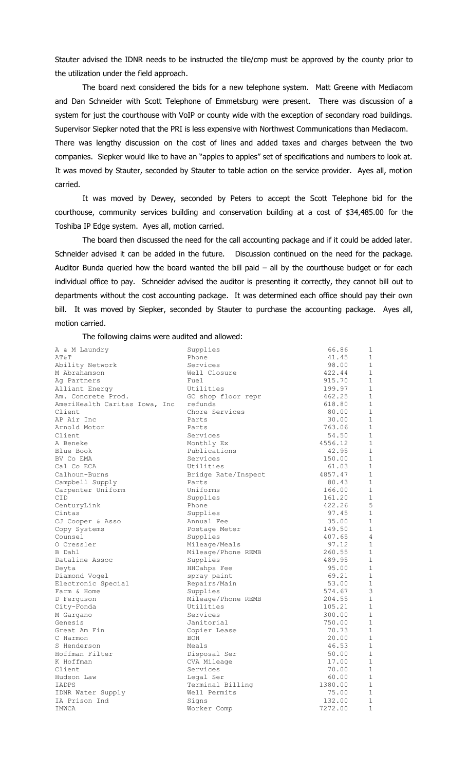Stauter advised the IDNR needs to be instructed the tile/cmp must be approved by the county prior to the utilization under the field approach.

The board next considered the bids for a new telephone system. Matt Greene with Mediacom and Dan Schneider with Scott Telephone of Emmetsburg were present. There was discussion of a system for just the courthouse with VoIP or county wide with the exception of secondary road buildings. Supervisor Siepker noted that the PRI is less expensive with Northwest Communications than Mediacom. There was lengthy discussion on the cost of lines and added taxes and charges between the two companies. Siepker would like to have an "apples to apples" set of specifications and numbers to look at. It was moved by Stauter, seconded by Stauter to table action on the service provider. Ayes all, motion carried.

It was moved by Dewey, seconded by Peters to accept the Scott Telephone bid for the courthouse, community services building and conservation building at a cost of \$34,485.00 for the Toshiba IP Edge system. Ayes all, motion carried.

The board then discussed the need for the call accounting package and if it could be added later. Schneider advised it can be added in the future. Discussion continued on the need for the package. Auditor Bunda queried how the board wanted the bill paid – all by the courthouse budget or for each individual office to pay. Schneider advised the auditor is presenting it correctly, they cannot bill out to departments without the cost accounting package. It was determined each office should pay their own bill. It was moved by Siepker, seconded by Stauter to purchase the accounting package. Ayes all, motion carried.

The following claims were audited and allowed:

| A & M Laundry                 | Supplies            | 66.86   | 1              |
|-------------------------------|---------------------|---------|----------------|
| AT&T                          | Phone               | 41.45   | $\mathbf{1}$   |
| Ability Network               | Services            | 98.00   | $\mathbf{1}$   |
| M Abrahamson                  | Well Closure        | 422.44  | $\mathbf{1}$   |
| Ag Partners                   | Fuel                | 915.70  | 1              |
| Alliant Energy                | Utilities           | 199.97  | $\mathbf{1}$   |
| Am. Concrete Prod.            | GC shop floor repr  | 462.25  | $\mathbf 1$    |
| AmeriHealth Caritas Iowa, Inc | refunds             | 618.80  | $\mathbf{1}$   |
| Client                        | Chore Services      | 80.00   | 1              |
| AP Air Inc                    | Parts               | 30.00   | $\mathbf{1}$   |
| Arnold Motor                  | Parts               | 763.06  | $\mathbf{1}$   |
| Client                        | Services            | 54.50   | $\mathbf{1}$   |
| A Beneke                      | Monthly Ex          | 4556.12 | $\mathbf{1}$   |
| Blue Book                     | Publications        | 42.95   | 1              |
| BV Co EMA                     | Services            | 150.00  | $\mathbf{1}$   |
| Cal Co ECA                    | Utilities           | 61.03   | $\mathbf 1$    |
| Calhoun-Burns                 | Bridge Rate/Inspect | 4857.47 | $\mathbf 1$    |
| Campbell Supply               | Parts               | 80.43   | $\mathbf{1}$   |
| Carpenter Uniform             | Uniforms            | 166.00  | 1              |
| CID                           | Supplies            | 161.20  | $\mathbf{1}$   |
| CenturyLink                   | Phone               | 422.26  | 5              |
| Cintas                        | Supplies            | 97.45   | $\mathbf{1}$   |
| CJ Cooper & Asso              | Annual Fee          | 35.00   | $\mathbf{1}$   |
| Copy Systems                  | Postage Meter       | 149.50  | $\mathbf{1}$   |
| Counsel                       | Supplies            | 407.65  | $\overline{4}$ |
| O Cressler                    | Mileage/Meals       | 97.12   | $\mathbf{1}$   |
| B Dahl                        | Mileage/Phone REMB  | 260.55  | $\mathbf{1}$   |
| Dataline Assoc                | Supplies            | 489.95  | 1              |
| Deyta                         | HHCahps Fee         | 95.00   | $\mathbf{1}$   |
| Diamond Vogel                 | spray paint         | 69.21   | $\mathbf{1}$   |
| Electronic Special            | Repairs/Main        | 53.00   | 1              |
| Farm & Home                   | Supplies            | 574.67  | 3              |
| D Ferguson                    | Mileage/Phone REMB  | 204.55  | 1              |
| City-Fonda                    | Utilities           | 105.21  | $\mathbf{1}$   |
| M Gargano                     | Services            | 300.00  | $\mathbf 1$    |
| Genesis                       | Janitorial          | 750.00  | $\mathbf{1}$   |
| Great Am Fin                  | Copier Lease        | 70.73   | $\mathbf{1}$   |
| C Harmon                      | <b>BOH</b>          | 20.00   | $\mathbf 1$    |
| S Henderson                   | Meals               | 46.53   | $\mathbf{1}$   |
| Hoffman Filter                | Disposal Ser        | 50.00   | $\mathbf 1$    |
| K Hoffman                     | CVA Mileage         | 17.00   | $\mathbf{1}$   |
| Client                        | Services            | 70.00   | $\mathbf 1$    |
| Hudson Law                    | Legal Ser           | 60.00   | 1              |
| IADPS                         | Terminal Billing    | 1380.00 | $\mathbf{1}$   |
| IDNR Water Supply             | Well Permits        | 75.00   | $\mathbf{1}$   |
| IA Prison Ind                 | Signs               | 132.00  | 1              |
| IMWCA                         | Worker Comp         | 7272.00 | $\mathbf 1$    |
|                               |                     |         |                |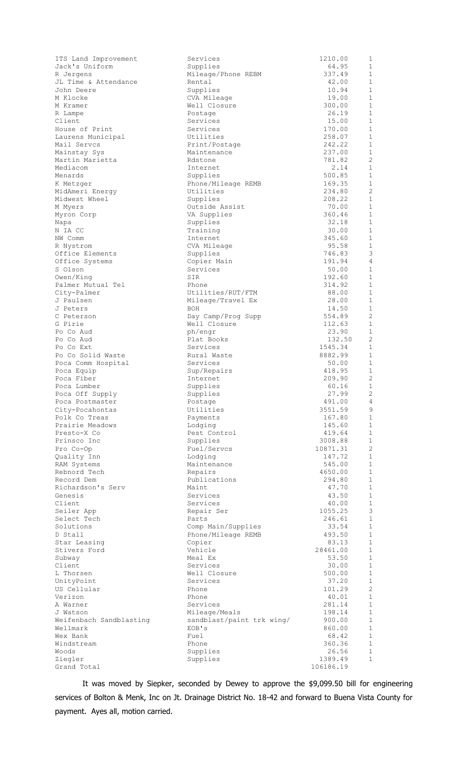| ITS Land Improvement               | Services                      | 1210.00          | 1                            |
|------------------------------------|-------------------------------|------------------|------------------------------|
| Jack's Uniform                     | Supplies                      | 64.95            | 1                            |
| R Jergens                          | Mileage/Phone REBM            | 337.49           | $\mathbf{1}$                 |
| JL Time & Attendance<br>John Deere | Rental                        | 42.00<br>10.94   | $\mathbf{1}$<br>$\mathbf{1}$ |
| M Klocke                           | Supplies<br>CVA Mileage       | 19.00            | 1                            |
| M Kramer                           | Well Closure                  | 300.00           | $\mathbf{1}$                 |
| R Lampe                            | Postage                       | 26.19            | $\mathbf{1}$                 |
| Client                             | Services                      | 15.00            | $\mathbf{1}$                 |
| House of Print                     | Services                      | 170.00           | $\mathbf{1}$                 |
| Laurens Municipal                  | Utilities                     | 258.07           | $\mathbf{1}$                 |
| Mail Servcs                        | Print/Postage                 | 242.22           | 1                            |
| Mainstay Sys                       | Maintenance                   | 237.00           | $\mathbf{1}$                 |
| Martin Marietta                    | Rdstone                       | 781.82           | $\mathbf{2}$                 |
| Mediacom                           | Internet                      | 2.14             | $\mathbf{1}$                 |
| Menards                            | Supplies                      | 500.85           | 1                            |
| K Metzger                          | Phone/Mileage REMB            | 169.35           | $\mathbf{1}$                 |
| MidAmeri Energy                    | Utilities                     | 234.80           | 2                            |
| Midwest Wheel                      | Supplies                      | 208.22           | 1<br>$\mathbf{1}$            |
| M Myers                            | Outside Assist<br>VA Supplies | 70.00<br>360.46  | 1                            |
| Myron Corp<br>Napa                 | Supplies                      | 32.18            | $\mathbf{1}$                 |
| N IA CC                            | Training                      | 30.00            | $\mathbf{1}$                 |
| NW Comm                            | Internet                      | 345.60           | 1                            |
| R Nystrom                          | CVA Mileage                   | 95.58            | $\mathbf{1}$                 |
| Office Elements                    | Supplies                      | 746.83           | 3                            |
| Office Systems                     | Copier Main                   | 191.94           | 4                            |
| S Olson                            | Services                      | 50.00            | $\mathbf{1}$                 |
| Owen/King                          | SIR                           | 192.60           | 1                            |
| Palmer Mutual Tel                  | Phone                         | 314.92           | $\mathbf{1}$                 |
| City-Palmer                        | Utilities/RUT/FTM             | 88.00            | 1                            |
| J Paulsen                          | Mileage/Travel Ex             | 28.00            | 1                            |
| J Peters                           | BOH                           | 14.50            | $\mathbf{1}$                 |
| C Peterson                         | Day Camp/Prog Supp            | 554.89           | 2                            |
| G Pirie                            | Well Closure                  | 112.63           | $\mathbf{1}$<br>1            |
| Po Co Aud<br>Po Co Aud             | ph/engr<br>Plat Books         | 23.90<br>132.50  | 2                            |
| Po Co Ext                          | Services                      | 1545.34          | $\mathbf{1}$                 |
| Po Co Solid Waste                  | Rural Waste                   | 8882.99          | 1                            |
| Poca Comm Hospital                 | Services                      | 50.00            | 1                            |
| Poca Equip                         | Sup/Repairs                   | 418.95           | 1                            |
| Poca Fiber                         | Internet                      | 209.90           | 2                            |
| Poca Lumber                        | Supplies                      | 60.16            | 1                            |
| Poca Off Supply                    | Supplies                      | 27.99            | $\mathbf{2}$                 |
| Poca Postmaster                    | Postage                       | 491.00           | 4                            |
| City-Pocahontas                    | Utilities                     | 3551.59          | 9                            |
| Polk Co Treas                      | Payments                      | 167.80           | $\mathbf{1}$<br>$\mathbf{1}$ |
| Prairie Meadows<br>Presto-X Co     | Lodging<br>Pest Control       | 145.60<br>419.64 | $\mathbf{1}$                 |
| Prinsco Inc                        | Supplies                      | 3008.88          | $\mathbf{1}$                 |
| Pro Co-Op                          | Fuel/Servcs                   | 10871.31         | 2                            |
| Quality Inn                        | Lodging                       | 147.72           | $\mathbf{1}$                 |
| RAM Systems                        | Maintenance                   | 545.00           | $\mathbf{1}$                 |
| Rebnord Tech                       | Repairs                       | 4650.00          | $\mathbf{1}$                 |
| Record Dem                         | Publications                  | 294.80           | $\mathbf{1}$                 |
| Richardson's Serv                  | Maint                         | 47.70            | $\mathbf{1}$                 |
| Genesis                            | Services                      | 43.50            | $\mathbf{1}$                 |
| Client                             | Services                      | 40.00            | $\mathbf{1}$                 |
| Seiler App                         | Repair Ser                    | 1055.25          | 3                            |
| Select Tech                        | Parts                         | 246.61           | $\mathbf{1}$                 |
| Solutions                          | Comp Main/Supplies            | 33.54            | $\mathbf{1}$<br>$\mathbf{1}$ |
| D Stall<br>Star Leasing            | Phone/Mileage REMB<br>Copier  | 493.50<br>83.13  | $\mathbf{1}$                 |
| Stivers Ford                       | Vehicle                       | 28461.00         | $\mathbf{1}$                 |
| Subway                             | Meal Ex                       | 53.50            | $\mathbf{1}$                 |
| Client                             | Services                      | 30.00            | $\mathbf{1}$                 |
| L Thorsen                          | Well Closure                  | 500.00           | $\mathbf{1}$                 |
| UnityPoint                         | Services                      | 37.20            | $\mathbf{1}$                 |
| US Cellular                        | Phone                         | 101.29           | 2                            |
| Verizon                            | Phone                         | 40.01            | $\mathbf{1}$                 |
| A Warner                           | Services                      | 281.14           | $\mathbf{1}$                 |
| J Watson                           | Mileage/Meals                 | 198.14           | $\mathbf{1}$                 |
| Weifenbach Sandblasting            | sandblast/paint trk wing/     | 900.00           | $\mathbf{1}$                 |
| Wellmark<br>Wex Bank               | EOB's<br>Fuel                 | 860.00           | $\mathbf{1}$<br>$\mathbf{1}$ |
| Windstream                         | Phone                         | 68.42<br>360.36  | $\mathbf{1}$                 |
| Woods                              | Supplies                      | 26.56            | $\mathbf{1}$                 |
| Ziegler                            | Supplies                      | 1389.49          | $\mathbf{1}$                 |
| Grand Total                        |                               | 106186.19        |                              |

It was moved by Siepker, seconded by Dewey to approve the \$9,099.50 bill for engineering services of Bolton & Menk, Inc on Jt. Drainage District No. 18-42 and forward to Buena Vista County for payment. Ayes all, motion carried.